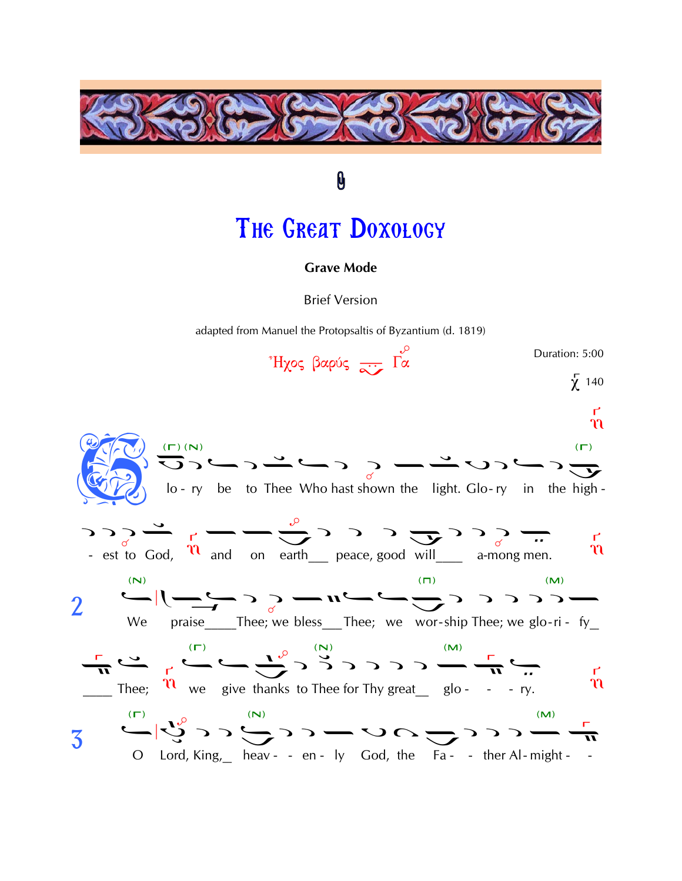

# THE GREAT DOXOLOGY

0

#### **Grave Mode**

**Brief Version** 

adapted from Manuel the Protopsaltis of Byzantium (d. 1819)

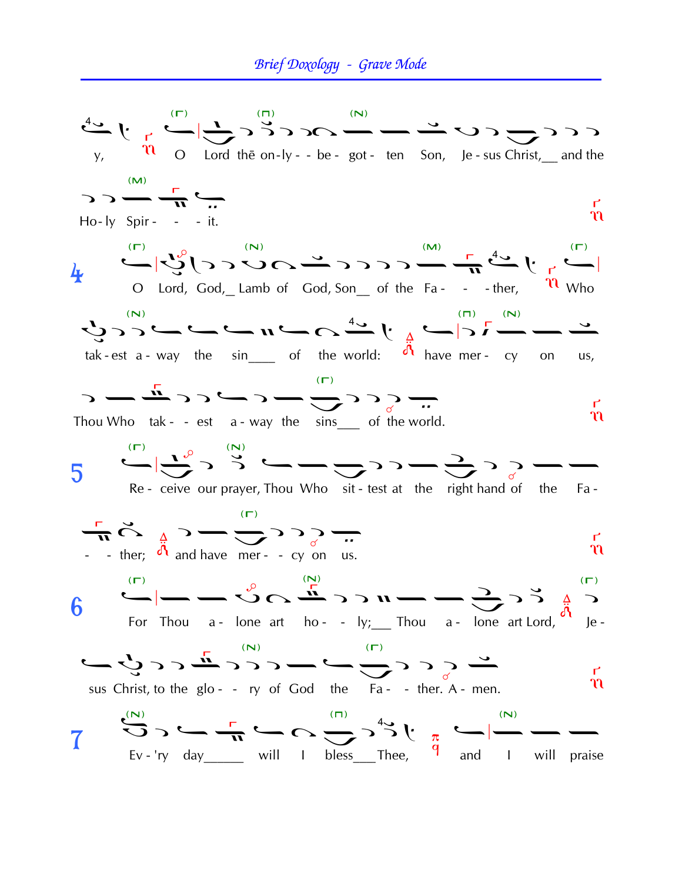## Brief Doxology - Grave Mode

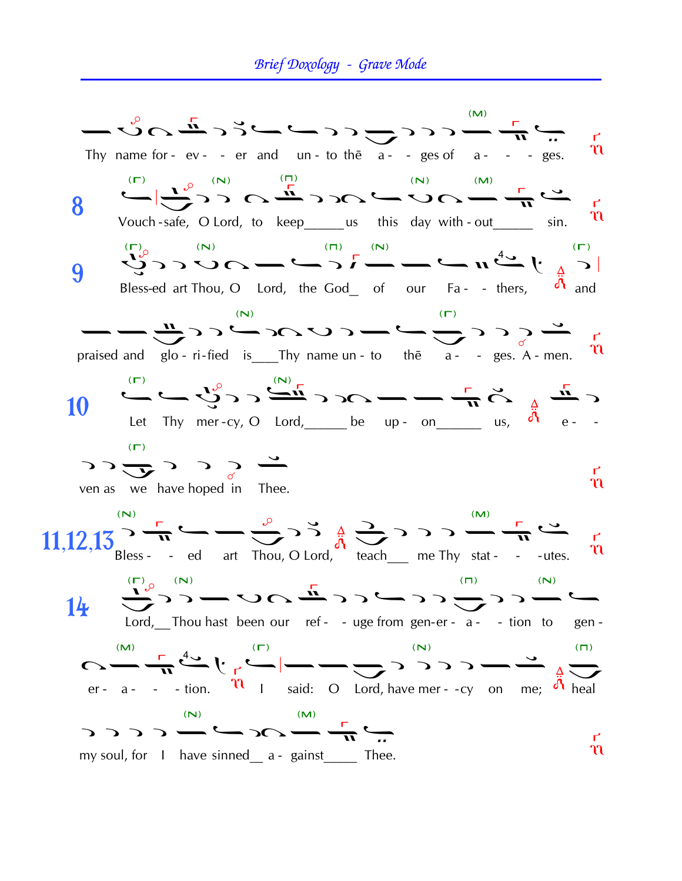#### Brief Doxology - Grave Mode

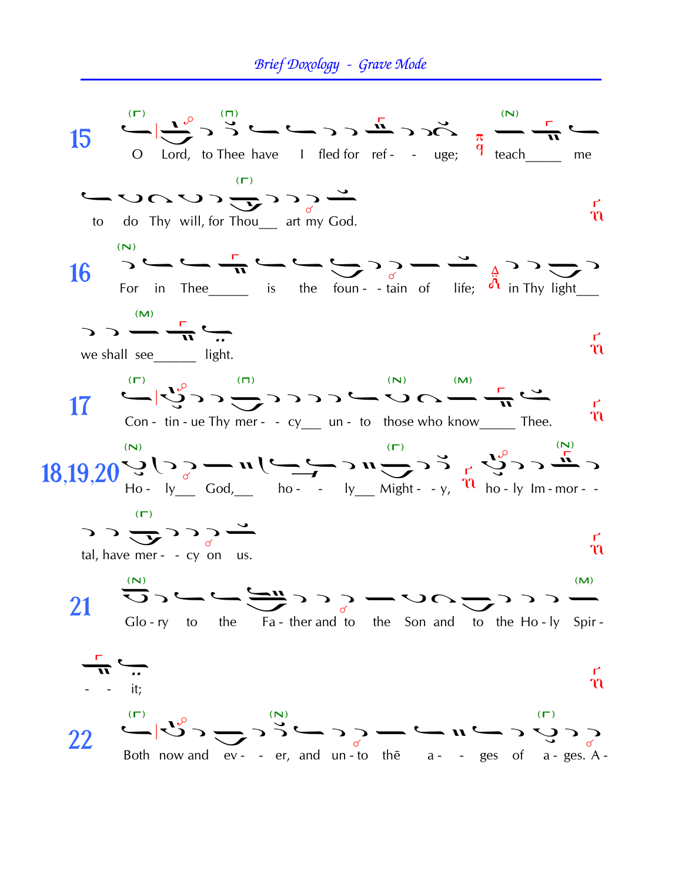## Brief Doxology - Grave Mode